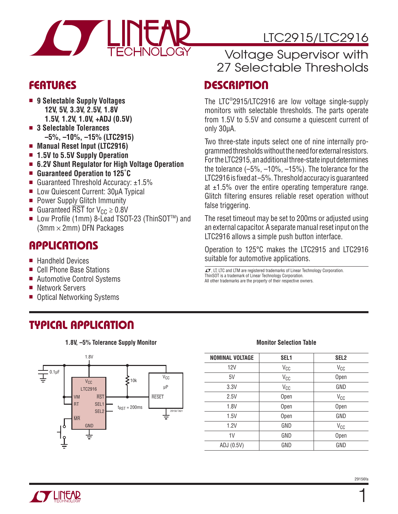

### **FEATURES**

- 9 Selectable Supply Voltages  **12V, 5V, 3.3V, 2.5V, 1.8V 1.5V, 1.2V, 1.0V, +ADJ (0.5V)**
- 3 Selectable Tolerances  **–5%, –10%, –15% (LTC2915)**
- Manual Reset Input (LTC2916)
- 1.5V to 5.5V Supply Operation
- <sup>n</sup> **6.2V Shunt Regulator for High Voltage Operation**
- Guaranteed Operation to 125<sup>°</sup>C
- Guaranteed Threshold Accuracy:  $\pm 1.5\%$
- **E** Low Quiescent Current: 30μA Typical
- **Power Supply Glitch Immunity**
- Guaranteed  $\overline{\text{RST}}$  for  $V_{CC} \geq 0.8V$
- Low Profile (1mm) 8-Lead TSOT-23 (ThinSOT<sup>TM</sup>) and  $(3mm \times 2mm)$  DFN Packages

### **APPLICATIONS**

- Handheld Devices
- Cell Phone Base Stations
- Automotive Control Systems
- Network Servers
- Optical Networking Systems

# LTC2915/LTC2916

## Voltage Supervisor with 27 Selectable Thresholds

### **DESCRIPTION**

The LTC®2915/LTC2916 are low voltage single-supply monitors with selectable thresholds. The parts operate from 1.5V to 5.5V and consume a quiescent current of only 30μA.

Two three-state inputs select one of nine internally programmed thresholds without the need for external resistors. For the LTC2915, an additional three-state input determines the tolerance (–5%, –10%, –15%). The tolerance for the LTC2916 is fixed at  $-5\%$ . Threshold accuracy is guaranteed at  $\pm 1.5$ % over the entire operating temperature range. Glitch filtering ensures reliable reset operation without false triggering.

The reset timeout may be set to 200ms or adjusted using an external capacitor. A separate manual reset input on the LTC2916 allows a simple push button interface.

Operation to 125°C makes the LTC2915 and LTC2916 suitable for automotive applications.

 $\sqrt{J}$ , LT, LTC and LTM are registered trademarks of Linear Technology Corporation. ThinSOT is a trademark of Linear Technology Corporation. All other trademarks are the property of their respective owners.

## **TYPICAL APPLICATION**

**1.8V, –5% Tolerance Supply Monitor**



#### **Monitor Selection Table**

| <b>NOMINAL VOLTAGE</b> | SEL <sub>1</sub> | SEL <sub>2</sub> |
|------------------------|------------------|------------------|
| 12V                    | V <sub>CC</sub>  | V <sub>CC</sub>  |
| 5V                     | V <sub>CC</sub>  | Open             |
| 3.3V                   | V <sub>CC</sub>  | GND              |
| 2.5V                   | Open             | V <sub>CC</sub>  |
| 1.8V                   | Open             | Open             |
| 1.5V                   | Open             | GND              |
| 1.2V                   | GND              | V <sub>CC</sub>  |
| 1V                     | GND              | Open             |
| ADJ (0.5V)             | GND              | GND              |



1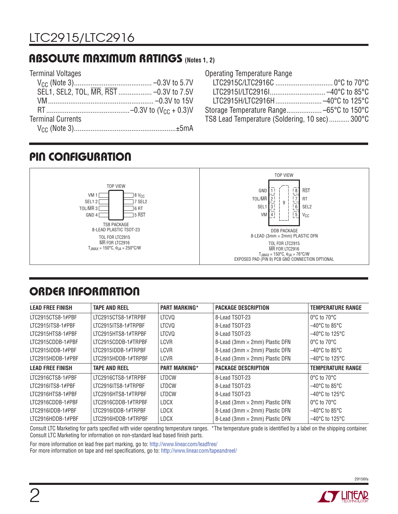### **ABSOLUTE MAXIMUM RATINGS (Notes 1, 2)**

| <b>Terminal Voltages</b>                |  |
|-----------------------------------------|--|
|                                         |  |
| SEL1, SEL2, TOL, MR, RST  -0.3V to 7.5V |  |
|                                         |  |
|                                         |  |
| <b>Terminal Currents</b>                |  |
|                                         |  |

Operating Temperature Range

| Storage Temperature Range -65°C to 150°C       |  |
|------------------------------------------------|--|
| TS8 Lead Temperature (Soldering, 10 sec) 300°C |  |
|                                                |  |

## **PIN CONFIGURATION**



# **ORDER INFORMATION**

| <b>LEAD FREE FINISH</b> | <b>TAPE AND REEL</b> | <b>PART MARKING*</b> | <b>PACKAGE DESCRIPTION</b>            | <b>TEMPERATURE RANGE</b>            |
|-------------------------|----------------------|----------------------|---------------------------------------|-------------------------------------|
| LTC2915CTS8-1#PBF       | LTC2915CTS8-1#TRPBF  | <b>LTCVQ</b>         | 8-Lead TSOT-23                        | $0^{\circ}$ C to $70^{\circ}$ C     |
| LTC2915ITS8-1#PBF       | LTC2915ITS8-1#TRPBF  | <b>LTCVQ</b>         | 8-Lead TSOT-23                        | $-40^{\circ}$ C to 85 $^{\circ}$ C  |
| LTC2915HTS8-1#PBF       | LTC2915HTS8-1#TRPBF  | <b>LTCVQ</b>         | 8-Lead TSOT-23                        | $-40^{\circ}$ C to 125 $^{\circ}$ C |
| LTC2915CDDB-1#PBF       | LTC2915CDDB-1#TRPBF  | LCVR                 | 8-Lead (3mm $\times$ 2mm) Plastic DFN | $0^{\circ}$ C to 70 $^{\circ}$ C    |
| LTC2915IDDB-1#PBF       | LTC2915IDDB-1#TRPBF  | <b>LCVR</b>          | 8-Lead (3mm × 2mm) Plastic DFN        | $-40^{\circ}$ C to 85 $^{\circ}$ C  |
| LTC2915HDDB-1#PBF       | LTC2915HDDB-1#TRPBF  | <b>LCVR</b>          | 8-Lead (3mm × 2mm) Plastic DFN        | $-40^{\circ}$ C to 125 $^{\circ}$ C |
| <b>LEAD FREE FINISH</b> | <b>TAPE AND REEL</b> | <b>PART MARKING*</b> | <b>PACKAGE DESCRIPTION</b>            | <b>TEMPERATURE RANGE</b>            |
| LTC2916CTS8-1#PBF       | LTC2916CTS8-1#TRPBF  | <b>LTDCW</b>         | 8-Lead TSOT-23                        | $0^{\circ}$ C to 70 $^{\circ}$ C    |
| ITC2916ITS8-1#PBF       | LTC2916ITS8-1#TRPBF  | <b>LTDCW</b>         | 8-Lead TSOT-23                        | $-40^{\circ}$ C to 85 $^{\circ}$ C  |
| LTC2916HTS8-1#PBF       | LTC2916HTS8-1#TRPBF  | <b>LTDCW</b>         | 8-Lead TSOT-23                        | $-40^{\circ}$ C to 125 $^{\circ}$ C |
| LTC2916CDDB-1#PBF       | LTC2916CDDB-1#TRPBF  | <b>LDCX</b>          | 8-Lead (3mm × 2mm) Plastic DFN        | $0^{\circ}$ C to 70 $^{\circ}$ C    |
| LTC2916IDDB-1#PBF       | LTC2916IDDB-1#TRPBF  | <b>LDCX</b>          | 8-Lead (3mm × 2mm) Plastic DFN        | $-40^{\circ}$ C to 85 $^{\circ}$ C  |
| LTC2916HDDB-1#PBF       | LTC2916HDDB-1#TRPBF  | <b>LDCX</b>          | 8-Lead (3mm × 2mm) Plastic DFN        | $-40^{\circ}$ C to 125 $^{\circ}$ C |

Consult LTC Marketing for parts specified with wider operating temperature ranges. \*The temperature grade is identified by a label on the shipping container. Consult LTC Marketing for information on non-standard lead based finish parts.

For more information on lead free part marking, go to: http://www.linear.com/leadfree/

For more information on tape and reel specifications, go to: http://www.linear.com/tapeandreel/

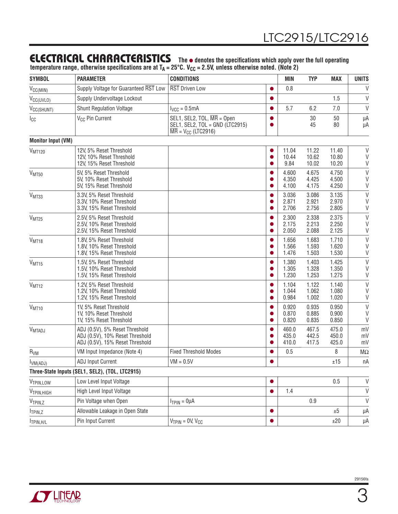### **ELECTRICAL CHARACTERISTICS** The  $\bullet$  denotes the specifications which apply over the full operating

temperature range, otherwise specifications are at T<sub>A</sub> = 25°C. V<sub>CC</sub> = 2.5V, unless otherwise noted. (Note 2)

| <b>SYMBOL</b>             | <b>PARAMETER</b>                                                                                     | <b>CONDITIONS</b>                                                                                                                       |                | MIN                     | <b>TYP</b>              | <b>MAX</b>              | <b>UNITS</b>                    |
|---------------------------|------------------------------------------------------------------------------------------------------|-----------------------------------------------------------------------------------------------------------------------------------------|----------------|-------------------------|-------------------------|-------------------------|---------------------------------|
| V <sub>CC(MIN)</sub>      | Supply Voltage for Guaranteed RST Low                                                                | <b>RST Driven Low</b>                                                                                                                   | $\bullet$      | 0.8                     |                         |                         | $\vee$                          |
| V <sub>CC(UVLO)</sub>     | Supply Undervoltage Lockout                                                                          |                                                                                                                                         |                |                         |                         | 1.5                     | V                               |
| V <sub>CC(SHUNT)</sub>    | <b>Shunt Regulation Voltage</b>                                                                      | $I_{VCC} = 0.5mA$                                                                                                                       |                | 5.7                     | 6.2                     | 7.0                     | $\vee$                          |
| Icc                       | V <sub>CC</sub> Pin Current                                                                          | SEL1, SEL2, TOL, $\overline{\text{MR}}$ = Open<br>SEL1, SEL2, TOL = GND (LTC2915)<br>$\overline{\text{MR}}$ = V <sub>CC</sub> (LTC2916) |                |                         | 30<br>45                | 50<br>80                | μA<br>μA                        |
| <b>Monitor Input (VM)</b> |                                                                                                      |                                                                                                                                         |                |                         |                         |                         |                                 |
| V <sub>MT120</sub>        | 12V, 5% Reset Threshold<br>12V, 10% Reset Threshold<br>12V, 15% Reset Threshold                      |                                                                                                                                         | ●              | 11.04<br>10.44<br>9.84  | 11.22<br>10.62<br>10.02 | 11.40<br>10.80<br>10.20 | $\vee$<br>V<br>$\mathsf{V}$     |
| V <sub>MT50</sub>         | 5V, 5% Reset Threshold<br>5V, 10% Reset Threshold<br>5V, 15% Reset Threshold                         |                                                                                                                                         | O              | 4.600<br>4.350<br>4.100 | 4.675<br>4.425<br>4.175 | 4.750<br>4.500<br>4.250 | $\vee$<br>$\vee$<br>$\vee$      |
| V <sub>MT33</sub>         | 3.3V, 5% Reset Threshold<br>3.3V, 10% Reset Threshold<br>3.3V, 15% Reset Threshold                   |                                                                                                                                         | 0              | 3.036<br>2.871<br>2.706 | 3.086<br>2.921<br>2.756 | 3.135<br>2.970<br>2.805 | V<br>$\vee$<br>V                |
| V <sub>MT25</sub>         | 2.5V, 5% Reset Threshold<br>2.5V, 10% Reset Threshold<br>2.5V, 15% Reset Threshold                   |                                                                                                                                         | ●              | 2.300<br>2.175<br>2.050 | 2.338<br>2.213<br>2.088 | 2.375<br>2.250<br>2.125 | $\vee$<br>V<br>V                |
| V <sub>MT18</sub>         | 1.8V, 5% Reset Threshold<br>1.8V, 10% Reset Threshold<br>1.8V, 15% Reset Threshold                   |                                                                                                                                         | ●<br>O         | 1.656<br>1.566<br>1.476 | 1.683<br>1.593<br>1.503 | 1.710<br>1.620<br>1.530 | $\vee$<br>V<br>$\vee$           |
| V <sub>MT15</sub>         | 1.5V, 5% Reset Threshold<br>1.5V, 10% Reset Threshold<br>1.5V, 15% Reset Threshold                   |                                                                                                                                         | 0<br>O         | 1.380<br>1.305<br>1.230 | 1.403<br>1.328<br>1.253 | 1.425<br>1.350<br>1.275 | $\vee$<br>$\vee$<br>$\vee$      |
| V <sub>MT12</sub>         | 1.2V, 5% Reset Threshold<br>1.2V, 10% Reset Threshold<br>1.2V, 15% Reset Threshold                   |                                                                                                                                         | ●              | 1.104<br>1.044<br>0.984 | 1.122<br>1.062<br>1.002 | 1.140<br>1.080<br>1.020 | $\mathsf V$<br>$\vee$<br>$\vee$ |
| V <sub>MT10</sub>         | 1V, 5% Reset Threshold<br>1V, 10% Reset Threshold<br>1V, 15% Reset Threshold                         |                                                                                                                                         | $\bullet$<br>● | 0.920<br>0.870<br>0.820 | 0.935<br>0.885<br>0.835 | 0.950<br>0.900<br>0.850 | $\vee$<br>V<br>V                |
| V <sub>MTADJ</sub>        | ADJ (0.5V), 5% Reset Threshold<br>ADJ (0.5V), 10% Reset Threshold<br>ADJ (0.5V), 15% Reset Threshold |                                                                                                                                         | ●              | 460.0<br>435.0<br>410.0 | 467.5<br>442.5<br>417.5 | 475.0<br>450.0<br>425.0 | mV<br>mV<br>mV                  |
| R <sub>VM</sub>           | VM Input Impedance (Note 4)                                                                          | <b>Fixed Threshold Modes</b>                                                                                                            |                | 0.5                     |                         | 8                       | $M\Omega$                       |
| VM(ADJ)                   | <b>ADJ Input Current</b>                                                                             | $VM = 0.5V$                                                                                                                             |                |                         |                         | $\pm 15$                | nA                              |
|                           | Three-State Inputs (SEL1, SEL2), (TOL, LTC2915)                                                      |                                                                                                                                         |                |                         |                         |                         |                                 |
| V <sub>TPIN, LOW</sub>    | Low Level Input Voltage                                                                              |                                                                                                                                         | $\bullet$      |                         |                         | 0.5                     | $\vee$                          |
| V <sub>TPIN, HIGH</sub>   | High Level Input Voltage                                                                             |                                                                                                                                         | ●              | 1.4                     |                         |                         | $\vee$                          |
| V <sub>TPIN,Z</sub>       | Pin Voltage when Open                                                                                | $ITPIN = 0µA$                                                                                                                           |                |                         | 0.9                     |                         | $\vee$                          |
| I <sub>TPIN,Z</sub>       | Allowable Leakage in Open State                                                                      |                                                                                                                                         | $\bullet$      |                         |                         | ±5                      | μA                              |
| TPIN, H/L                 | Pin Input Current                                                                                    | $V_{TPIN} = 0V, V_{CC}$                                                                                                                 |                |                         |                         | ±20                     | μA                              |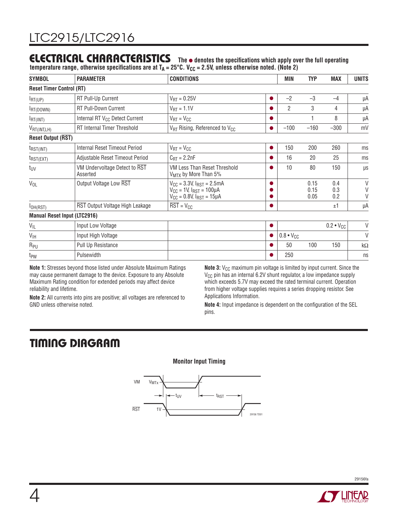### **ELECTRICAL CHARACTERISTICS** The  $\bullet$  denotes the specifications which apply over the full operating

temperature range, otherwise specifications are at T<sub>A</sub> = 25°C. V<sub>CC</sub> = 2.5V, unless otherwise noted. (Note 2)

| <b>SYMBOL</b>                               | <b>PARAMETER</b>                           | <b>CONDITIONS</b>                                                                                               |   | MIN                | <b>TYP</b>           | <b>MAX</b>         | <b>UNITS</b>     |
|---------------------------------------------|--------------------------------------------|-----------------------------------------------------------------------------------------------------------------|---|--------------------|----------------------|--------------------|------------------|
| <b>Reset Timer Control (RT)</b>             |                                            |                                                                                                                 |   |                    |                      |                    |                  |
| $I_{\text{RT}(UP)}$                         | RT Pull-Up Current                         | $V_{\text{RT}} = 0.25V$                                                                                         |   | $-2$               | $-3$                 | $-4$               | μA               |
| RT(DOWN)                                    | <b>RT Pull-Down Current</b>                | $V_{\text{RT}} = 1.1 V$                                                                                         |   | $\overline{2}$     | 3                    | 4                  | μA               |
| $I_{\text{RT}(INT)}$                        | Internal RT V <sub>CC</sub> Detect Current | $V_{\text{RT}} = V_{\text{CC}}$                                                                                 |   |                    |                      | 8                  | μA               |
| $V_{\mathsf{RT}(\mathsf{INT},\mathsf{LH})}$ | <b>RT</b> Internal Timer Threshold         | $V_{RT}$ Rising, Referenced to $V_{CC}$                                                                         |   | $-100$             | $-160$               | $-300$             | mV               |
| <b>Reset Output (RST)</b>                   |                                            |                                                                                                                 |   |                    |                      |                    |                  |
| $t_{RST(INT)}$                              | Internal Reset Timeout Period              | $V_{RT} = V_{CC}$                                                                                               | ● | 150                | 200                  | 260                | ms               |
| $t_{RST(EXT)}$                              | Adjustable Reset Timeout Period            | $C_{\text{RT}} = 2.2nF$                                                                                         |   | 16                 | 20                   | 25                 | ms               |
| t <sub>UV</sub>                             | VM Undervoltage Detect to RST<br>Asserted  | VM Less Than Reset Threshold<br>V <sub>MTX</sub> by More Than 5%                                                |   | 10                 | 80                   | 150                | μs               |
| $V_{OL}$                                    | Output Voltage Low RST                     | $V_{CC}$ = 3.3V, $I_{RST}$ = 2.5mA<br>$V_{CC}$ = 1V, $I_{RST}$ = 100µA<br>$V_{CC} = 0.8V$ , $I_{RST} = 15\mu A$ |   |                    | 0.15<br>0.15<br>0.05 | 0.4<br>0.3<br>0.2  | V<br>$\vee$<br>V |
| I <sub>OH(RST)</sub>                        | RST Output Voltage High Leakage            | $\overline{\text{RST}} = \text{V}_{\text{CC}}$                                                                  |   |                    |                      | ±1                 | μA               |
|                                             | <b>Manual Reset Input (LTC2916)</b>        |                                                                                                                 |   |                    |                      |                    |                  |
| $V_{IL}$                                    | Input Low Voltage                          |                                                                                                                 |   |                    |                      | $0.2 \cdot V_{CC}$ | $\vee$           |
| $V_{\text{IH}}$                             | Input High Voltage                         |                                                                                                                 |   | $0.8 \cdot V_{CC}$ |                      |                    | $\vee$           |
| $R_{PU}$                                    | Pull Up Resistance                         |                                                                                                                 |   | 50                 | 100                  | 150                | kΩ               |
| t <sub>PW</sub>                             | Pulsewidth                                 |                                                                                                                 |   | 250                |                      |                    | ns               |

**Note 1:** Stresses beyond those listed under Absolute Maximum Ratings may cause permanent damage to the device. Exposure to any Absolute Maximum Rating condition for extended periods may affect device reliability and lifetime.

**Note 2:** All currents into pins are positive; all voltages are referenced to

**Note 3:** V<sub>CC</sub> maximum pin voltage is limited by input current. Since the  $V_{CC}$  pin has an internal 6.2V shunt regulator, a low impedance supply which exceeds 5.7V may exceed the rated terminal current. Operation from higher voltage supplies requires a series dropping resistor. See Applications Information.

**Note 4:** Input impedance is dependent on the configuration of the SEL pins.

# **TIMING DIAGRAM**

GND unless otherwise noted.





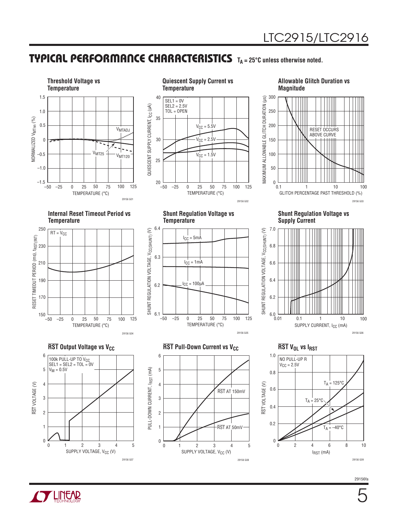### **TYPICAL PERFORMANCE CHARACTERISTICS** T<sub>A</sub> = 25°C unless otherwise noted.





#### **Allowable Glitch Duration vs Magnitude**



**Internal Reset Timeout Period vs Temperature**





**Shunt Regulation Voltage vs Temperature**



**Shunt Regulation Voltage vs Supply Current**



**RST** Output Voltage vs V<sub>CC</sub> **RST** Pull-Down Current vs V<sub>CC</sub> **RST** V<sub>OL</sub> vs I<sub>RST</sub>





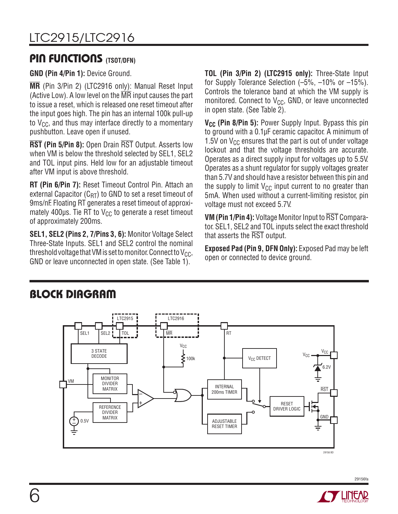### **PIN FUNCTIONS (TSOT/DFN)**

**GND (Pin 4/Pin 1):** Device Ground.

**MR** (Pin 3/Pin 2) (LTC2916 only): Manual Reset Input (Active Low). A low level on the MR input causes the part to issue a reset, which is released one reset timeout after the input goes high. The pin has an internal 100k pull-up to  $V_{CC}$ , and thus may interface directly to a momentary pushbutton. Leave open if unused.

**RST (Pin 5/Pin 8):** Open Drain RST Output. Asserts low when VM is below the threshold selected by SEL1, SEL2 and TOL input pins. Held low for an adjustable timeout after VM input is above threshold.

**RT (Pin 6/Pin 7):** Reset Timeout Control Pin. Attach an external Capacitor  $(C_{RT})$  to GND to set a reset timeout of 9ms/nF. Floating RT generates a reset timeout of approximately 400 $\mu$ s. Tie RT to V<sub>CC</sub> to generate a reset timeout of approximately 200ms.

**SEL1, SEL2 (Pins 2, 7/Pins 3, 6):** Monitor Voltage Select Three-State Inputs. SEL1 and SEL2 control the nominal threshold voltage that VM is set to monitor. Connect to  $V_{CC}$ , GND or leave unconnected in open state. (See Table 1).

**TOL (Pin 3/Pin 2) (LTC2915 only):** Three-State Input for Supply Tolerance Selection (–5%, –10% or –15%). Controls the tolerance band at which the VM supply is monitored. Connect to  $V_{CC}$ , GND, or leave unconnected in open state. (See Table 2).

**V<sub>CC</sub>** (Pin 8/Pin 5): Power Supply Input. Bypass this pin to ground with a 0.1μF ceramic capacitor. A minimum of 1.5V on  $V_{CC}$  ensures that the part is out of under voltage lockout and that the voltage thresholds are accurate. Operates as a direct supply input for voltages up to 5.5V. Operates as a shunt regulator for supply voltages greater than 5.7V and should have a resistor between this pin and the supply to limit  $V_{CC}$  input current to no greater than 5mA. When used without a current-limiting resistor, pin voltage must not exceed 5.7V.

**VM (Pin 1/Pin 4):** Voltage Monitor Input to RST Comparator. SEL1, SEL2 and TOL inputs select the exact threshold that asserts the RST output.

**Exposed Pad (Pin 9, DFN Only):** Exposed Pad may be left open or connected to device ground.



# **BLOCK DIAGRAM**

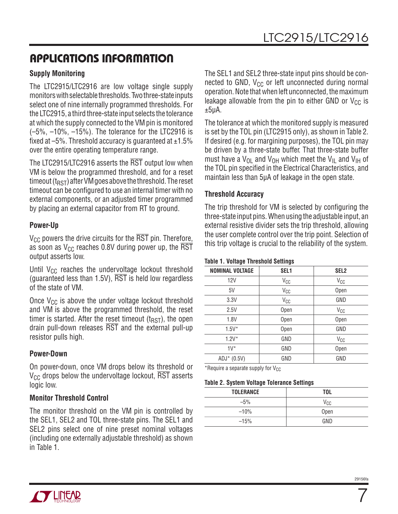## **APPLICATIONS INFORMATION**

#### **Supply Monitoring**

The LTC2915/LTC2916 are low voltage single supply monitors with selectable thresholds. Two three-state inputs select one of nine internally programmed thresholds. For the LTC2915, a third three-state input selects the tolerance at which the supply connected to the VM pin is monitored (–5%, –10%, –15%). The tolerance for the LTC2916 is fixed at  $-5\%$ . Threshold accuracy is guaranteed at  $\pm 1.5\%$ over the entire operating temperature range.

The LTC2915/LTC2916 asserts the RST output low when VM is below the programmed threshold, and for a reset timeout  $(t_{RST})$  after VM goes above the threshold. The reset timeout can be configured to use an internal timer with no external components, or an adjusted timer programmed by placing an external capacitor from RT to ground.

#### **Power-Up**

 $V_{CC}$  powers the drive circuits for the RST pin. Therefore, as soon as  $V_{\text{CC}}$  reaches 0.8V during power up, the  $\overline{\text{RST}}$ output asserts low.

Until  $V_{CC}$  reaches the undervoltage lockout threshold (guaranteed less than  $1.5V$ ),  $\overline{RST}$  is held low regardless of the state of VM.

Once  $V_{CC}$  is above the under voltage lockout threshold and VM is above the programmed threshold, the reset timer is started. After the reset timeout  $(t_{RST})$ , the open drain pull-down releases RST and the external pull-up resistor pulls high.

#### **Power-Down**

On power-down, once VM drops below its threshold or  $V_{CC}$  drops below the undervoltage lockout,  $\overline{RST}$  asserts logic low.

#### **Monitor Threshold Control**

The monitor threshold on the VM pin is controlled by the SEL1, SEL2 and TOL three-state pins. The SEL1 and SEL2 pins select one of nine preset nominal voltages (including one externally adjustable threshold) as shown in Table 1.

The SEL1 and SEL2 three-state input pins should be connected to GND,  $V_{CC}$  or left unconnected during normal operation. Note that when left unconnected, the maximum leakage allowable from the pin to either GND or  $V_{CC}$  is  $±5\mu$ A.

The tolerance at which the monitored supply is measured is set by the TOL pin (LTC2915 only), as shown in Table 2. If desired (e.g. for margining purposes), the TOL pin may be driven by a three-state buffer. That three-state buffer must have a  $V_{\text{O}1}$  and  $V_{\text{OH}}$  which meet the  $V_{\text{II}}$  and  $V_{\text{IH}}$  of the TOL pin specified in the Electrical Characteristics, and maintain less than 5μA of leakage in the open state.

#### **Threshold Accuracy**

The trip threshold for VM is selected by configuring the three-state input pins. When using the adjustable input, an external resistive divider sets the trip threshold, allowing the user complete control over the trip point. Selection of this trip voltage is crucial to the reliability of the system.

#### **Table 1. Voltage Threshold Settings**

| <b>NOMINAL VOLTAGE</b> | SEL <sub>1</sub> | SEL <sub>2</sub> |
|------------------------|------------------|------------------|
| 12V                    | $V_{CC}$         | $V_{CC}$         |
| 5V                     | $V_{CC}$         | Open             |
| 3.3V                   | $V_{CC}$         | GND              |
| 2.5V                   | Open             | $V_{CC}$         |
| 1.8V                   | Open             | Open             |
| $1.5V^*$               | Open             | GND              |
| $1.2V^*$               | GND              | $V_{CC}$         |
| $1 V^*$                | GND              | Open             |
| ADJ* (0.5V)            | GND              | GND              |

\*Require a separate supply for  $V_{CC}$ 

#### **Table 2. System Voltage Tolerance Settings**

| <b>TOLERANCE</b> | <b>TOL</b> |
|------------------|------------|
| $-5%$            | $V_{CC}$   |
| $-10%$           | Open       |
| $-15%$           | GND        |



7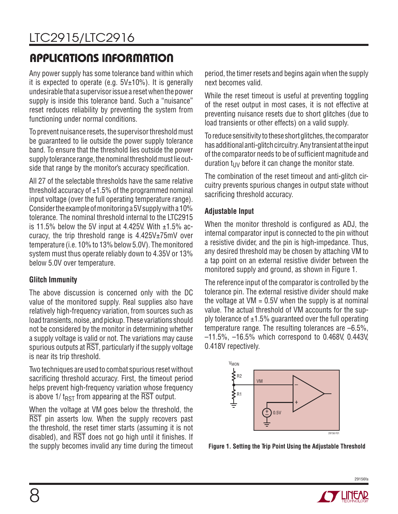# LTC2915/LTC2916

# **APPLICATIONS INFORMATION**

Any power supply has some tolerance band within which it is expected to operate (e.g.  $5V±10%$ ). It is generally undesirable that a supervisor issue a reset when the power supply is inside this tolerance band. Such a "nuisance" reset reduces reliability by preventing the system from functioning under normal conditions.

To prevent nuisance resets, the supervisor threshold must be guaranteed to lie outside the power supply tolerance band. To ensure that the threshold lies outside the power supply tolerance range, the nominal threshold must lie outside that range by the monitor's accuracy specification.

All 27 of the selectable thresholds have the same relative threshold accuracy of  $\pm 1.5\%$  of the programmed nominal input voltage (over the full operating temperature range). Consider the example of monitoring a 5V supply with a 10% tolerance. The nominal threshold internal to the LTC2915 is 11.5% below the 5V input at 4.425V. With  $\pm$ 1.5% accuracy, the trip threshold range is  $4.425V_{\pm}75mV$  over temperature (i.e. 10% to 13% below 5.0V). The monitored system must thus operate reliably down to 4.35V or 13% below 5.0V over temperature.

#### **Glitch Immunity**

The above discussion is concerned only with the DC value of the monitored supply. Real supplies also have relatively high-frequency variation, from sources such as load transients, noise, and pickup. These variations should not be considered by the monitor in determining whether a supply voltage is valid or not. The variations may cause spurious outputs at  $\overline{\text{RST}}$ , particularly if the supply voltage is near its trip threshold.

Two techniques are used to combat spurious reset without sacrificing threshold accuracy. First, the timeout period helps prevent high-frequency variation whose frequency is above 1/  $t_{RST}$  from appearing at the  $\overline{RST}$  output.

When the voltage at VM goes below the threshold, the RST pin asserts low. When the supply recovers past the threshold, the reset timer starts (assuming it is not disabled), and  $\overline{RST}$  does not go high until it finishes. If the supply becomes invalid any time during the timeout period, the timer resets and begins again when the supply next becomes valid.

While the reset timeout is useful at preventing toggling of the reset output in most cases, it is not effective at preventing nuisance resets due to short glitches (due to load transients or other effects) on a valid supply.

To reduce sensitivity to these short glitches, the comparator has additional anti-glitch circuitry. Any transient at the input of the comparator needs to be of sufficient magnitude and duration  $t_{UV}$  before it can change the monitor state.

The combination of the reset timeout and anti-glitch circuitry prevents spurious changes in output state without sacrificing threshold accuracy.

#### **Adjustable Input**

When the monitor threshold is configured as ADJ, the internal comparator input is connected to the pin without a resistive divider, and the pin is high-impedance. Thus, any desired threshold may be chosen by attaching VM to a tap point on an external resistive divider between the monitored supply and ground, as shown in Figure 1.

The reference input of the comparator is controlled by the tolerance pin. The external resistive divider should make the voltage at  $VM = 0.5V$  when the supply is at nominal value. The actual threshold of VM accounts for the supply tolerance of  $\pm 1.5\%$  guaranteed over the full operating temperature range. The resulting tolerances are –6.5%, –11.5%, –16.5% which correspond to 0.468V, 0.443V, 0.418V repectively.



**Figure 1. Setting the Trip Point Using the Adjustable Threshold** 

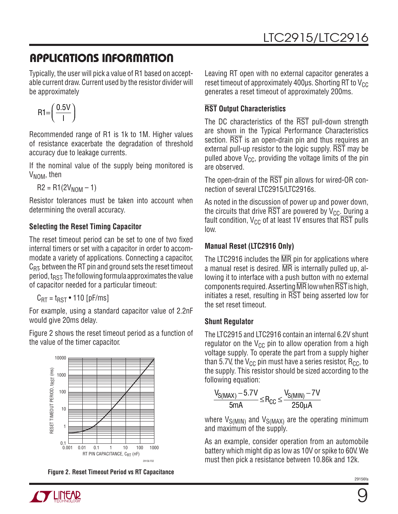# **APPLICATIONS INFORMATION**

Typically, the user will pick a value of R1 based on acceptable current draw. Current used by the resistor divider will be approximately

$$
R1 = \left(\frac{0.5V}{I}\right)
$$

Recommended range of R1 is 1k to 1M. Higher values of resistance exacerbate the degradation of threshold accuracy due to leakage currents.

If the nominal value of the supply being monitored is  $V_{NOM}$ , then

 $R2 = R1(2V_{NOM} - 1)$ 

Resistor tolerances must be taken into account when determining the overall accuracy.

### **Selecting the Reset Timing Capacitor**

The reset timeout period can be set to one of two fixed internal timers or set with a capacitor in order to accommodate a variety of applications. Connecting a capacitor,  $C_{\rm RT}$ , between the RT pin and ground sets the reset timeout period,  $t_{RST}$ . The following formula approximates the value of capacitor needed for a particular timeout:

 $C_{\text{RT}} = t_{\text{RST}} \cdot 110 \text{ [pF/ms]}$ 

For example, using a standard capacitor value of 2.2nF would give 20ms delay.

Figure 2 shows the reset timeout period as a function of the value of the timer capacitor.



**Figure 2. Reset Timeout Period vs RT Capacitance**

Leaving RT open with no external capacitor generates a reset timeout of approximately 400 $\mu$ s. Shorting RT to V<sub>CC</sub> generates a reset timeout of approximately 200ms.

### **RST Output Characteristics**

The DC characteristics of the RST pull-down strength are shown in the Typical Performance Characteristics section. RST is an open-drain pin and thus requires an external pull-up resistor to the logic supply. RST may be pulled above  $V_{CC}$ , providing the voltage limits of the pin are observed.

The open-drain of the RST pin allows for wired-OR connection of several LTC2915/LTC2916s.

As noted in the discussion of power up and power down, the circuits that drive  $\overline{RST}$  are powered by  $V_{CC}$ . During a fault condition,  $V_{CC}$  of at least 1V ensures that  $\overline{\text{RST}}$  pulls low.

### **Manual Reset (LTC2916 Only)**

The LTC2916 includes the MR pin for applications where a manual reset is desired. MR is internally pulled up, allowing it to interface with a push button with no external components required. Asserting  $\overline{\text{MR}}$  low when  $\overline{\text{RST}}$  is high, initiates a reset, resulting in RST being asserted low for the set reset timeout.

### **Shunt Regulator**

The LTC2915 and LTC2916 contain an internal 6.2V shunt regulator on the  $V_{CC}$  pin to allow operation from a high voltage supply. To operate the part from a supply higher than 5.7V, the  $V_{CC}$  pin must have a series resistor,  $R_{CC}$ , to the supply. This resistor should be sized according to the following equation:

$$
\frac{V_{S(MAX)} - 5.7V}{5mA} \leq R_{CC} \leq \frac{V_{S(MIN)} - 7V}{250\mu A}
$$

where  $V_{\text{S(MIN)}}$  and  $V_{\text{S(MAX)}}$  are the operating minimum and maximum of the supply.

As an example, consider operation from an automobile battery which might dip as low as 10V or spike to 60V. We must then pick a resistance between 10.86k and 12k.

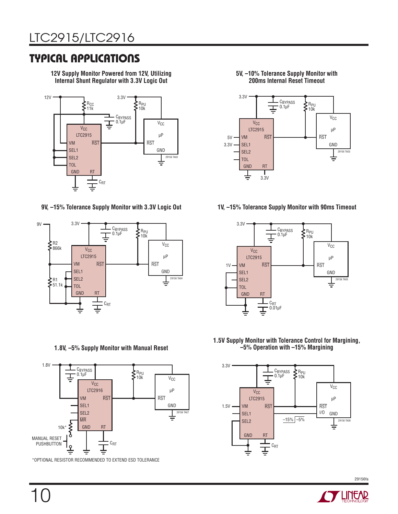## **TYPICAL APPLICATIONS**

**12V Supply Monitor Powered from 12V, Utilizing Internal Shunt Regulator with 3.3V Logic Out**



**9V, –15% Tolerance Supply Monitor with 3.3V Logic Out 1V, –15% Tolerance Supply Monitor with 90ms Timeout**



**1.8V, –5% Supply Monitor with Manual Reset**



\*OPTIONAL RESISTOR RECOMMENDED TO EXTEND ESD TOLERANCE

**5V, –10% Tolerance Supply Monitor with 200ms Internal Reset Timeout**





**1.5V Supply Monitor with Tolerance Control for Margining, –5% Operation with –15% Margining**



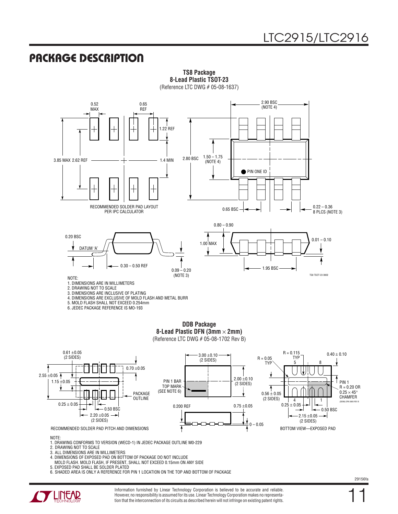### **PACKAGE DESCRIPTION**



**TS8 Package 8-Lead Plastic TSOT-23** (Reference LTC DWG # 05-08-1637)



NOTE:

1. DRAWING CONFORMS TO VERSION (WECD-1) IN JEDEC PACKAGE OUTLINE M0-229 2. DRAWING NOT TO SCALE

3. ALL DIMENSIONS ARE IN MILLIMETERS

4. DIMENSIONS OF EXPOSED PAD ON BOTTOM OF PACKAGE DO NOT INCLUDE

MOLD FLASH. MOLD FLASH, IF PRESENT, SHALL NOT EXCEED 0.15mm ON ANY SIDE

5. EXPOSED PAD SHALL BE SOLDER PLATED

6. SHADED AREA IS ONLY A REFERENCE FOR PIN 1 LOCATION ON THE TOP AND BOTTOM OF PACKAGE



Information furnished by Linear Technology Corporation is believed to be accurate and reliable. However, no responsibility is assumed for its use. Linear Technology Corporation makes no representation that the interconnection of its circuits as described herein will not infringe on existing patent rights. 11